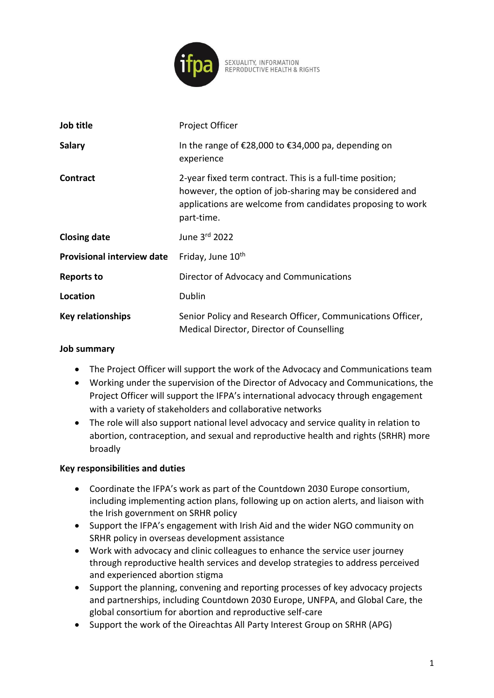

| SEXUALITY, INFORMATION       |  |
|------------------------------|--|
| REPRODUCTIVE HEALTH & RIGHTS |  |

| Job title                         | Project Officer                                                                                                                                                                                   |
|-----------------------------------|---------------------------------------------------------------------------------------------------------------------------------------------------------------------------------------------------|
| <b>Salary</b>                     | In the range of $\epsilon$ 28,000 to $\epsilon$ 34,000 pa, depending on<br>experience                                                                                                             |
| <b>Contract</b>                   | 2-year fixed term contract. This is a full-time position;<br>however, the option of job-sharing may be considered and<br>applications are welcome from candidates proposing to work<br>part-time. |
| <b>Closing date</b>               | June 3rd 2022                                                                                                                                                                                     |
| <b>Provisional interview date</b> | Friday, June 10 <sup>th</sup>                                                                                                                                                                     |
| <b>Reports to</b>                 | Director of Advocacy and Communications                                                                                                                                                           |
| Location                          | Dublin                                                                                                                                                                                            |
| <b>Key relationships</b>          | Senior Policy and Research Officer, Communications Officer,<br>Medical Director, Director of Counselling                                                                                          |

### **Job summary**

- The Project Officer will support the work of the Advocacy and Communications team
- Working under the supervision of the Director of Advocacy and Communications, the Project Officer will support the IFPA's international advocacy through engagement with a variety of stakeholders and collaborative networks
- The role will also support national level advocacy and service quality in relation to abortion, contraception, and sexual and reproductive health and rights (SRHR) more broadly

### **Key responsibilities and duties**

- Coordinate the IFPA's work as part of the Countdown 2030 Europe consortium, including implementing action plans, following up on action alerts, and liaison with the Irish government on SRHR policy
- Support the IFPA's engagement with Irish Aid and the wider NGO community on SRHR policy in overseas development assistance
- Work with advocacy and clinic colleagues to enhance the service user journey through reproductive health services and develop strategies to address perceived and experienced abortion stigma
- Support the planning, convening and reporting processes of key advocacy projects and partnerships, including Countdown 2030 Europe, UNFPA, and Global Care, the global consortium for abortion and reproductive self-care
- Support the work of the Oireachtas All Party Interest Group on SRHR (APG)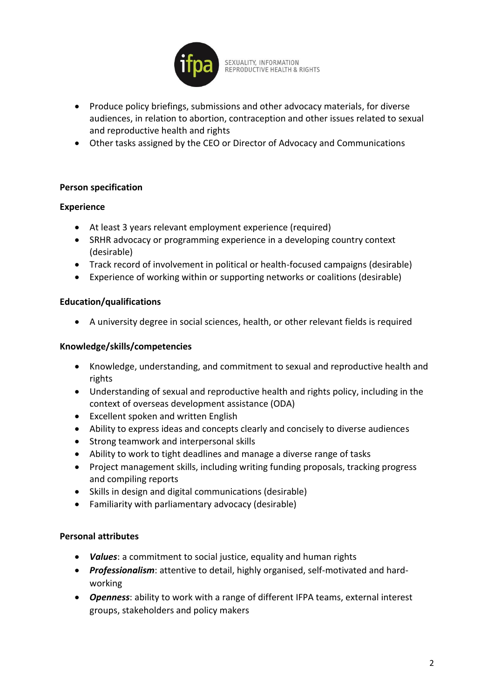

SEXUALITY, INFORMATION<br>REPRODUCTIVE HEALTH & RIGHTS

- Produce policy briefings, submissions and other advocacy materials, for diverse audiences, in relation to abortion, contraception and other issues related to sexual and reproductive health and rights
- Other tasks assigned by the CEO or Director of Advocacy and Communications

### **Person specification**

#### **Experience**

- At least 3 years relevant employment experience (required)
- SRHR advocacy or programming experience in a developing country context (desirable)
- Track record of involvement in political or health-focused campaigns (desirable)
- Experience of working within or supporting networks or coalitions (desirable)

#### **Education/qualifications**

• A university degree in social sciences, health, or other relevant fields is required

#### **Knowledge/skills/competencies**

- Knowledge, understanding, and commitment to sexual and reproductive health and rights
- Understanding of sexual and reproductive health and rights policy, including in the context of overseas development assistance (ODA)
- Excellent spoken and written English
- Ability to express ideas and concepts clearly and concisely to diverse audiences
- Strong teamwork and interpersonal skills
- Ability to work to tight deadlines and manage a diverse range of tasks
- Project management skills, including writing funding proposals, tracking progress and compiling reports
- Skills in design and digital communications (desirable)
- Familiarity with parliamentary advocacy (desirable)

### **Personal attributes**

- *Values*: a commitment to social justice, equality and human rights
- *Professionalism*: attentive to detail, highly organised, self-motivated and hardworking
- *Openness*: ability to work with a range of different IFPA teams, external interest groups, stakeholders and policy makers